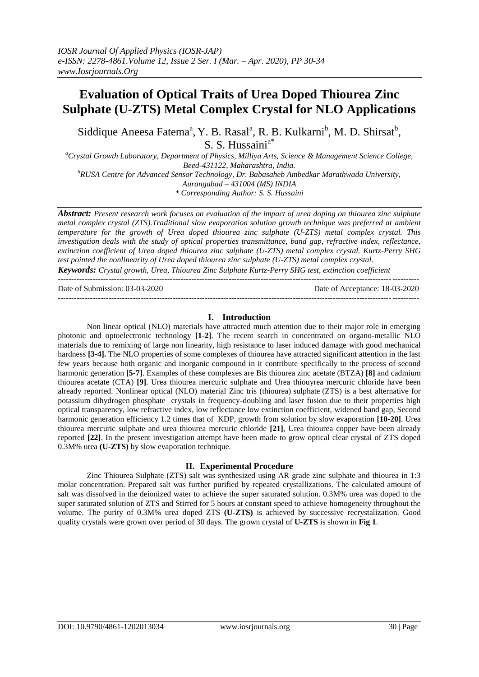# **Evaluation of Optical Traits of Urea Doped Thiourea Zinc Sulphate (U-ZTS) Metal Complex Crystal for NLO Applications**

Siddique Aneesa Fatema<sup>a</sup>, Y. B. Rasal<sup>a</sup>, R. B. Kulkarni<sup>b</sup>, M. D. Shirsat<sup>b</sup>, S. S. Hussaini<sup>a\*</sup>

*<sup>a</sup>Crystal Growth Laboratory, Department of Physics, Milliya Arts, Science & Management Science College, Beed-431122, Maharashtra, India. <sup>b</sup>RUSA Centre for Advanced Sensor Technology, Dr. Babasaheb Ambedkar Marathwada University, Aurangabad – 431004 (MS) INDIA*

*\* Corresponding Author: S. S. Hussaini*

*Abstract: Present research work focuses on evaluation of the impact of urea doping on thiourea zinc sulphate metal complex crystal (ZTS).Traditional slow evaporation solution growth technique was preferred at ambient temperature for the growth of Urea doped thiourea zinc sulphate (U-ZTS) metal complex crystal. This investigation deals with the study of optical properties transmittance, band gap, refractive index, reflectance, extinction coefficient of Urea doped thiourea zinc sulphate (U-ZTS) metal complex crystal. Kurtz-Perry SHG test pointed the nonlinearity of Urea doped thiourea zinc sulphate (U-ZTS) metal complex crystal.* 

*Keywords: Crystal growth, Urea, Thiourea Zinc Sulphate Kurtz-Perry SHG test, extinction coefficient* ---------------------------------------------------------------------------------------------------------------------------------------

Date of Submission: 03-03-2020 Date of Acceptance: 18-03-2020

#### **I. Introduction**

---------------------------------------------------------------------------------------------------------------------------------------

Non linear optical (NLO) materials have attracted much attention due to their major role in emerging photonic and optoelectronic technology **[1**-**2]**. The recent search in concentrated on organo-metallic NLO materials due to remixing of large non linearity, high resistance to laser induced damage with good mechanical hardness **[3-4].** The NLO properties of some complexes of thiourea have attracted significant attention in the last few years because both organic and inorganic compound in it contribute specifically to the process of second harmonic generation **[5-7]**. Examples of these complexes are Bis thiourea zinc acetate (BTZA) **[8]** and cadmium thiourea acetate (CTA) **[9]**. Urea thiourea mercuric sulphate and Urea thiouyrea mercuric chloride have been already reported. Nonlinear optical (NLO) material Zinc tris (thiourea) sulphate (ZTS) is a best alternative for potassium dihydrogen phosphate crystals in frequency-doubling and laser fusion due to their properties high optical transparency, low refractive index, low reflectance low extinction coefficient, widened band gap, Second harmonic generation efficiency 1.2 times that of KDP, growth from solution by slow evaporation **[10-20]**. Urea thiourea mercuric sulphate and urea thiourea mercuric chloride **[21]**, Urea thiourea copper have been already reported **[22]**. In the present investigation attempt have been made to grow optical clear crystal of ZTS doped 0.3M% urea **(U-ZTS)** by slow evaporation technique.

#### **II. Experimental Procedure**

Zinc Thiourea Sulphate (ZTS) salt was synthesized using AR grade zinc sulphate and thiourea in 1:3 molar concentration. Prepared salt was further purified by repeated crystallizations. The calculated amount of salt was dissolved in the deionized water to achieve the super saturated solution. 0.3M% urea was doped to the super saturated solution of ZTS and Stirred for 5 hours at constant speed to achieve homogeneity throughout the volume. The purity of 0.3M% urea doped ZTS **(U-ZTS)** is achieved by successive recrystalization. Good quality crystals were grown over period of 30 days. The grown crystal of **U-ZTS** is shown in **Fig 1**.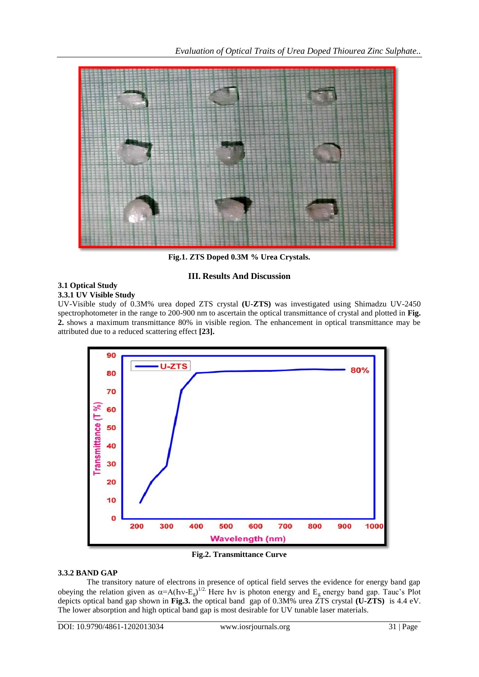

**Fig.1. ZTS Doped 0.3M % Urea Crystals.**

# **III. Results And Discussion**

#### **3.1 Optical Study 3.3.1 UV Visible Study**

UV-Visible study of 0.3M% urea doped ZTS crystal **(U-ZTS)** was investigated using Shimadzu UV-2450 spectrophotometer in the range to 200-900 nm to ascertain the optical transmittance of crystal and plotted in **Fig. 2.** shows a maximum transmittance 80% in visible region. The enhancement in optical transmittance may be attributed due to a reduced scattering effect **[23].** 



**Fig.2. Transmittance Curve**

#### **3.3.2 BAND GAP**

The transitory nature of electrons in presence of optical field serves the evidence for energy band gap obeying the relation given as  $\alpha = A(hv-E_g)^{1/2}$ . Here hv is photon energy and  $E_g$  energy band gap. Tauc's Plot depicts optical band gap shown in **Fig.3.** the optical band gap of 0.3M% urea ZTS crystal **(U-ZTS)** is 4.4 eV. The lower absorption and high optical band gap is most desirable for UV tunable laser materials.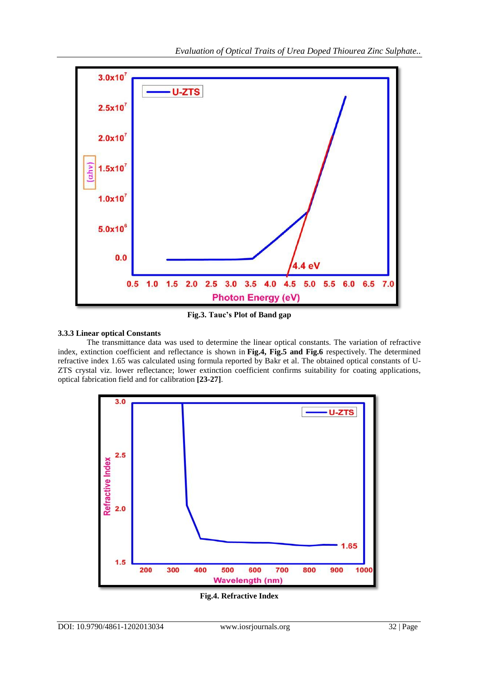

**Fig.3. Tauc's Plot of Band gap**

## **3.3.3 Linear optical Constants**

The transmittance data was used to determine the linear optical constants. The variation of refractive index, extinction coefficient and reflectance is shown in **Fig.4, Fig.5 and Fig.6** respectively. The determined refractive index 1.65 was calculated using formula reported by Bakr et al. The obtained optical constants of U-ZTS crystal viz. lower reflectance; lower extinction coefficient confirms suitability for coating applications, optical fabrication field and for calibration **[23-27]**.



**Fig.4. Refractive Index**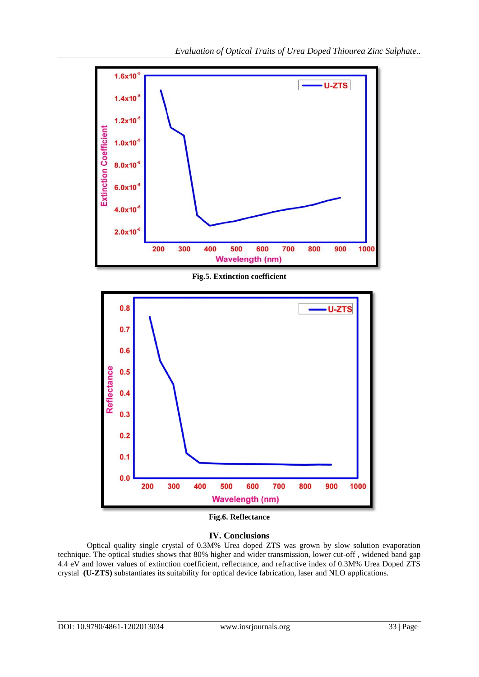

**Fig.5. Extinction coefficient**



**Fig.6. Reflectance**

### **IV. Conclusions**

Optical quality single crystal of 0.3M% Urea doped ZTS was grown by slow solution evaporation technique. The optical studies shows that 80% higher and wider transmission, lower cut-off , widened band gap 4.4 eV and lower values of extinction coefficient, reflectance, and refractive index of 0.3M% Urea Doped ZTS crystal **(U-ZTS)** substantiates its suitability for optical device fabrication, laser and NLO applications.